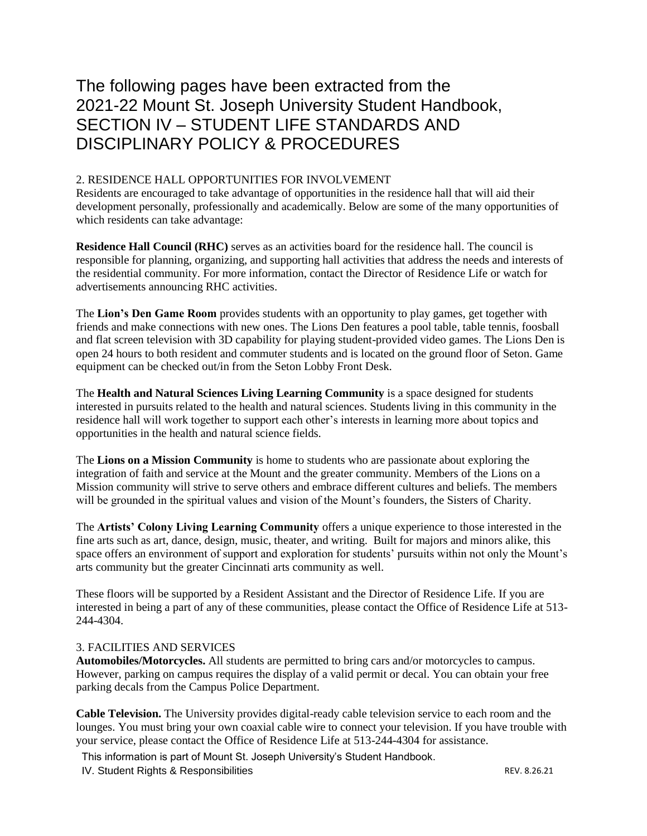# The following pages have been extracted from the 2021-22 Mount St. Joseph University Student Handbook, SECTION IV – STUDENT LIFE STANDARDS AND DISCIPLINARY POLICY & PROCEDURES

## 2. RESIDENCE HALL OPPORTUNITIES FOR INVOLVEMENT

Residents are encouraged to take advantage of opportunities in the residence hall that will aid their development personally, professionally and academically. Below are some of the many opportunities of which residents can take advantage:

**Residence Hall Council (RHC)** serves as an activities board for the residence hall. The council is responsible for planning, organizing, and supporting hall activities that address the needs and interests of the residential community. For more information, contact the Director of Residence Life or watch for advertisements announcing RHC activities.

The **Lion's Den Game Room** provides students with an opportunity to play games, get together with friends and make connections with new ones. The Lions Den features a pool table, table tennis, foosball and flat screen television with 3D capability for playing student-provided video games. The Lions Den is open 24 hours to both resident and commuter students and is located on the ground floor of Seton. Game equipment can be checked out/in from the Seton Lobby Front Desk.

The **Health and Natural Sciences Living Learning Community** is a space designed for students interested in pursuits related to the health and natural sciences. Students living in this community in the residence hall will work together to support each other's interests in learning more about topics and opportunities in the health and natural science fields.

The **Lions on a Mission Community** is home to students who are passionate about exploring the integration of faith and service at the Mount and the greater community. Members of the Lions on a Mission community will strive to serve others and embrace different cultures and beliefs. The members will be grounded in the spiritual values and vision of the Mount's founders, the Sisters of Charity.

The **Artists' Colony Living Learning Community** offers a unique experience to those interested in the fine arts such as art, dance, design, music, theater, and writing. Built for majors and minors alike, this space offers an environment of support and exploration for students' pursuits within not only the Mount's arts community but the greater Cincinnati arts community as well.

These floors will be supported by a Resident Assistant and the Director of Residence Life. If you are interested in being a part of any of these communities, please contact the Office of Residence Life at 513- 244-4304.

## 3. FACILITIES AND SERVICES

**Automobiles/Motorcycles.** All students are permitted to bring cars and/or motorcycles to campus. However, parking on campus requires the display of a valid permit or decal. You can obtain your free parking decals from the Campus Police Department.

**Cable Television.** The University provides digital-ready cable television service to each room and the lounges. You must bring your own coaxial cable wire to connect your television. If you have trouble with your service, please contact the Office of Residence Life at 513-244-4304 for assistance.

This information is part of Mount St. Joseph University's Student Handbook.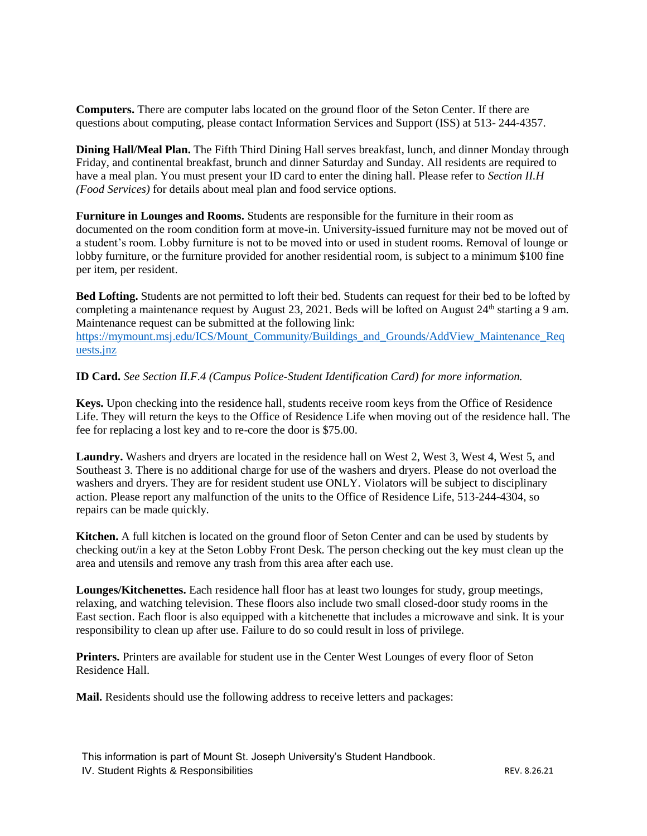**Computers.** There are computer labs located on the ground floor of the Seton Center. If there are questions about computing, please contact Information Services and Support (ISS) at 513- 244-4357.

**Dining Hall/Meal Plan.** The Fifth Third Dining Hall serves breakfast, lunch, and dinner Monday through Friday, and continental breakfast, brunch and dinner Saturday and Sunday. All residents are required to have a meal plan. You must present your ID card to enter the dining hall. Please refer to *Section II.H (Food Services)* for details about meal plan and food service options.

**Furniture in Lounges and Rooms.** Students are responsible for the furniture in their room as documented on the room condition form at move-in. University-issued furniture may not be moved out of a student's room. Lobby furniture is not to be moved into or used in student rooms. Removal of lounge or lobby furniture, or the furniture provided for another residential room, is subject to a minimum \$100 fine per item, per resident.

**Bed Lofting.** Students are not permitted to loft their bed. Students can request for their bed to be lofted by completing a maintenance request by August 23, 2021. Beds will be lofted on August  $24<sup>th</sup>$  starting a 9 am. Maintenance request can be submitted at the following link: [https://mymount.msj.edu/ICS/Mount\\_Community/Buildings\\_and\\_Grounds/AddView\\_Maintenance\\_Req](https://mymount.msj.edu/ICS/Mount_Community/Buildings_and_Grounds/AddView_Maintenance_Requests.jnz) [uests.jnz](https://mymount.msj.edu/ICS/Mount_Community/Buildings_and_Grounds/AddView_Maintenance_Requests.jnz)

**ID Card.** *See Section II.F.4 (Campus Police-Student Identification Card) for more information.*

**Keys.** Upon checking into the residence hall, students receive room keys from the Office of Residence Life. They will return the keys to the Office of Residence Life when moving out of the residence hall. The fee for replacing a lost key and to re-core the door is \$75.00.

**Laundry.** Washers and dryers are located in the residence hall on West 2, West 3, West 4, West 5, and Southeast 3. There is no additional charge for use of the washers and dryers. Please do not overload the washers and dryers. They are for resident student use ONLY. Violators will be subject to disciplinary action. Please report any malfunction of the units to the Office of Residence Life, 513-244-4304, so repairs can be made quickly.

**Kitchen.** A full kitchen is located on the ground floor of Seton Center and can be used by students by checking out/in a key at the Seton Lobby Front Desk. The person checking out the key must clean up the area and utensils and remove any trash from this area after each use.

**Lounges/Kitchenettes.** Each residence hall floor has at least two lounges for study, group meetings, relaxing, and watching television. These floors also include two small closed-door study rooms in the East section. Each floor is also equipped with a kitchenette that includes a microwave and sink. It is your responsibility to clean up after use. Failure to do so could result in loss of privilege.

**Printers.** Printers are available for student use in the Center West Lounges of every floor of Seton Residence Hall.

**Mail.** Residents should use the following address to receive letters and packages: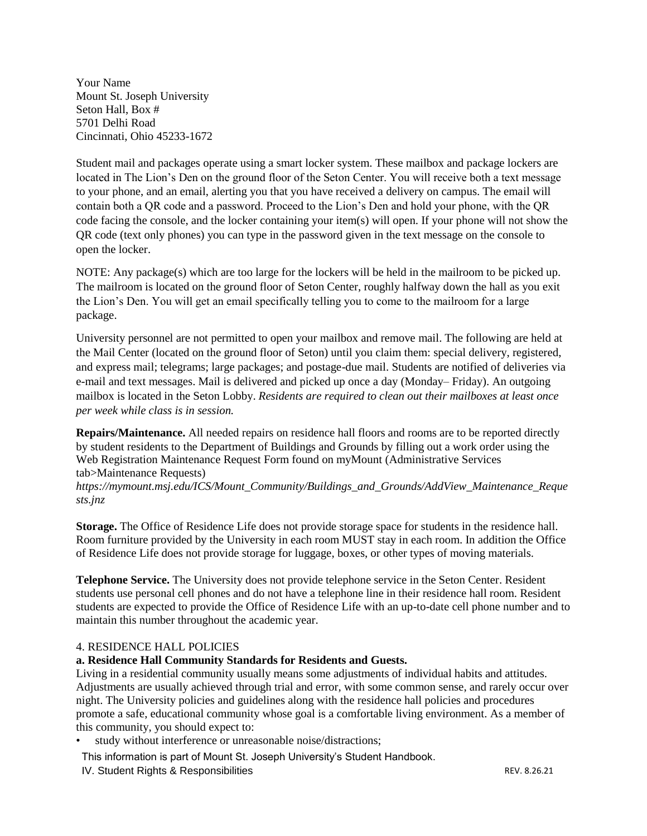Your Name Mount St. Joseph University Seton Hall, Box # 5701 Delhi Road Cincinnati, Ohio 45233-1672

Student mail and packages operate using a smart locker system. These mailbox and package lockers are located in The Lion's Den on the ground floor of the Seton Center. You will receive both a text message to your phone, and an email, alerting you that you have received a delivery on campus. The email will contain both a QR code and a password. Proceed to the Lion's Den and hold your phone, with the QR code facing the console, and the locker containing your item(s) will open. If your phone will not show the QR code (text only phones) you can type in the password given in the text message on the console to open the locker.

NOTE: Any package(s) which are too large for the lockers will be held in the mailroom to be picked up. The mailroom is located on the ground floor of Seton Center, roughly halfway down the hall as you exit the Lion's Den. You will get an email specifically telling you to come to the mailroom for a large package.

University personnel are not permitted to open your mailbox and remove mail. The following are held at the Mail Center (located on the ground floor of Seton) until you claim them: special delivery, registered, and express mail; telegrams; large packages; and postage-due mail. Students are notified of deliveries via e-mail and text messages. Mail is delivered and picked up once a day (Monday– Friday). An outgoing mailbox is located in the Seton Lobby. *Residents are required to clean out their mailboxes at least once per week while class is in session.* 

**Repairs/Maintenance.** All needed repairs on residence hall floors and rooms are to be reported directly by student residents to the Department of Buildings and Grounds by filling out a work order using the Web Registration Maintenance Request Form found on myMount (Administrative Services tab>Maintenance Requests)

*https://mymount.msj.edu/ICS/Mount\_Community/Buildings\_and\_Grounds/AddView\_Maintenance\_Reque sts.jnz*

**Storage.** The Office of Residence Life does not provide storage space for students in the residence hall. Room furniture provided by the University in each room MUST stay in each room. In addition the Office of Residence Life does not provide storage for luggage, boxes, or other types of moving materials.

**Telephone Service.** The University does not provide telephone service in the Seton Center. Resident students use personal cell phones and do not have a telephone line in their residence hall room. Resident students are expected to provide the Office of Residence Life with an up-to-date cell phone number and to maintain this number throughout the academic year.

## 4. RESIDENCE HALL POLICIES

## **a. Residence Hall Community Standards for Residents and Guests.**

Living in a residential community usually means some adjustments of individual habits and attitudes. Adjustments are usually achieved through trial and error, with some common sense, and rarely occur over night. The University policies and guidelines along with the residence hall policies and procedures promote a safe, educational community whose goal is a comfortable living environment. As a member of this community, you should expect to:

study without interference or unreasonable noise/distractions;

This information is part of Mount St. Joseph University's Student Handbook.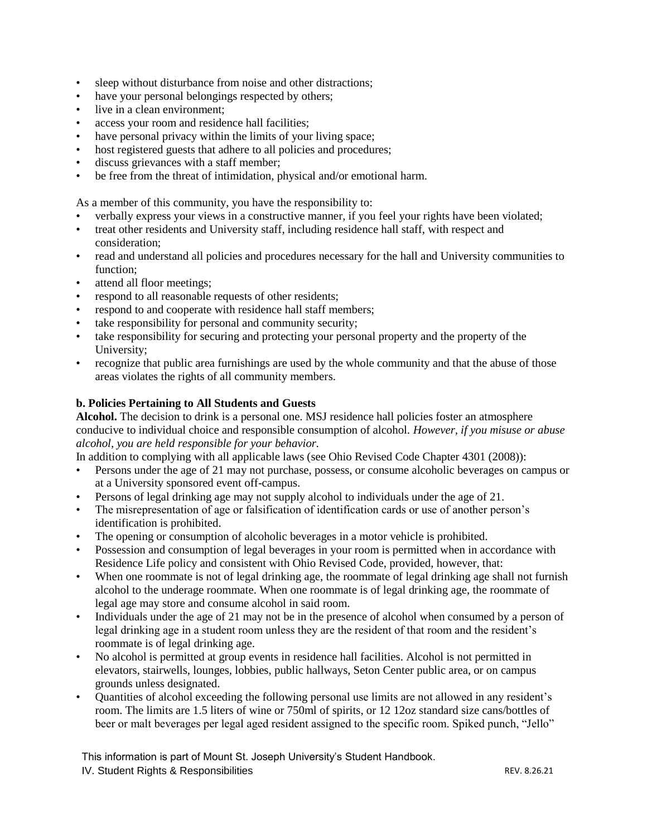- sleep without disturbance from noise and other distractions;
- have your personal belongings respected by others;
- live in a clean environment:
- access your room and residence hall facilities;
- have personal privacy within the limits of your living space;
- host registered guests that adhere to all policies and procedures;
- discuss grievances with a staff member;
- be free from the threat of intimidation, physical and/or emotional harm.

As a member of this community, you have the responsibility to:

- verbally express your views in a constructive manner, if you feel your rights have been violated;
- treat other residents and University staff, including residence hall staff, with respect and consideration;
- read and understand all policies and procedures necessary for the hall and University communities to function;
- attend all floor meetings;
- respond to all reasonable requests of other residents;
- respond to and cooperate with residence hall staff members;
- take responsibility for personal and community security;
- take responsibility for securing and protecting your personal property and the property of the University;
- recognize that public area furnishings are used by the whole community and that the abuse of those areas violates the rights of all community members.

## **b. Policies Pertaining to All Students and Guests**

**Alcohol.** The decision to drink is a personal one. MSJ residence hall policies foster an atmosphere conducive to individual choice and responsible consumption of alcohol. *However, if you misuse or abuse alcohol, you are held responsible for your behavior.* 

In addition to complying with all applicable laws (see Ohio Revised Code Chapter 4301 (2008)):

- Persons under the age of 21 may not purchase, possess, or consume alcoholic beverages on campus or at a University sponsored event off-campus.
- Persons of legal drinking age may not supply alcohol to individuals under the age of 21.
- The misrepresentation of age or falsification of identification cards or use of another person's identification is prohibited.
- The opening or consumption of alcoholic beverages in a motor vehicle is prohibited.
- Possession and consumption of legal beverages in your room is permitted when in accordance with Residence Life policy and consistent with Ohio Revised Code, provided, however, that:
- When one roommate is not of legal drinking age, the roommate of legal drinking age shall not furnish alcohol to the underage roommate. When one roommate is of legal drinking age, the roommate of legal age may store and consume alcohol in said room.
- Individuals under the age of 21 may not be in the presence of alcohol when consumed by a person of legal drinking age in a student room unless they are the resident of that room and the resident's roommate is of legal drinking age.
- No alcohol is permitted at group events in residence hall facilities. Alcohol is not permitted in elevators, stairwells, lounges, lobbies, public hallways, Seton Center public area, or on campus grounds unless designated.
- Quantities of alcohol exceeding the following personal use limits are not allowed in any resident's room. The limits are 1.5 liters of wine or 750ml of spirits, or 12 12oz standard size cans/bottles of beer or malt beverages per legal aged resident assigned to the specific room. Spiked punch, "Jello"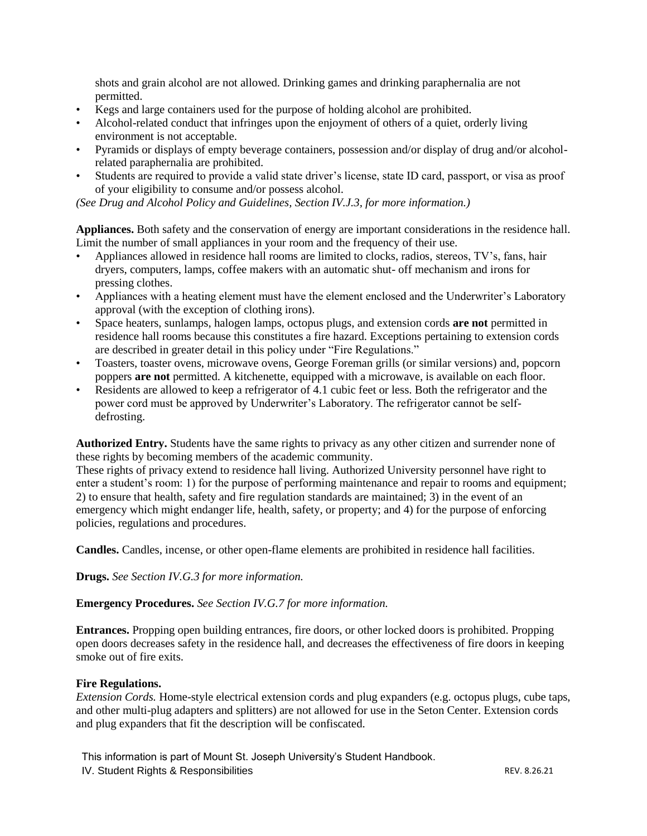shots and grain alcohol are not allowed. Drinking games and drinking paraphernalia are not permitted.

- Kegs and large containers used for the purpose of holding alcohol are prohibited.
- Alcohol-related conduct that infringes upon the enjoyment of others of a quiet, orderly living environment is not acceptable.
- Pyramids or displays of empty beverage containers, possession and/or display of drug and/or alcoholrelated paraphernalia are prohibited.
- Students are required to provide a valid state driver's license, state ID card, passport, or visa as proof of your eligibility to consume and/or possess alcohol.

*(See Drug and Alcohol Policy and Guidelines, Section IV.J.3, for more information.)* 

**Appliances.** Both safety and the conservation of energy are important considerations in the residence hall. Limit the number of small appliances in your room and the frequency of their use.

- Appliances allowed in residence hall rooms are limited to clocks, radios, stereos, TV's, fans, hair dryers, computers, lamps, coffee makers with an automatic shut- off mechanism and irons for pressing clothes.
- Appliances with a heating element must have the element enclosed and the Underwriter's Laboratory approval (with the exception of clothing irons).
- Space heaters, sunlamps, halogen lamps, octopus plugs, and extension cords **are not** permitted in residence hall rooms because this constitutes a fire hazard. Exceptions pertaining to extension cords are described in greater detail in this policy under "Fire Regulations."
- Toasters, toaster ovens, microwave ovens, George Foreman grills (or similar versions) and, popcorn poppers **are not** permitted. A kitchenette, equipped with a microwave, is available on each floor.
- Residents are allowed to keep a refrigerator of 4.1 cubic feet or less. Both the refrigerator and the power cord must be approved by Underwriter's Laboratory. The refrigerator cannot be selfdefrosting.

**Authorized Entry.** Students have the same rights to privacy as any other citizen and surrender none of these rights by becoming members of the academic community.

These rights of privacy extend to residence hall living. Authorized University personnel have right to enter a student's room: 1) for the purpose of performing maintenance and repair to rooms and equipment; 2) to ensure that health, safety and fire regulation standards are maintained; 3) in the event of an emergency which might endanger life, health, safety, or property; and 4) for the purpose of enforcing policies, regulations and procedures.

**Candles.** Candles, incense, or other open-flame elements are prohibited in residence hall facilities.

**Drugs.** *See Section IV.G.3 for more information.* 

## **Emergency Procedures.** *See Section IV.G.7 for more information.*

**Entrances.** Propping open building entrances, fire doors, or other locked doors is prohibited. Propping open doors decreases safety in the residence hall, and decreases the effectiveness of fire doors in keeping smoke out of fire exits.

#### **Fire Regulations.**

*Extension Cords.* Home-style electrical extension cords and plug expanders (e.g. octopus plugs, cube taps, and other multi-plug adapters and splitters) are not allowed for use in the Seton Center. Extension cords and plug expanders that fit the description will be confiscated.

This information is part of Mount St. Joseph University's Student Handbook.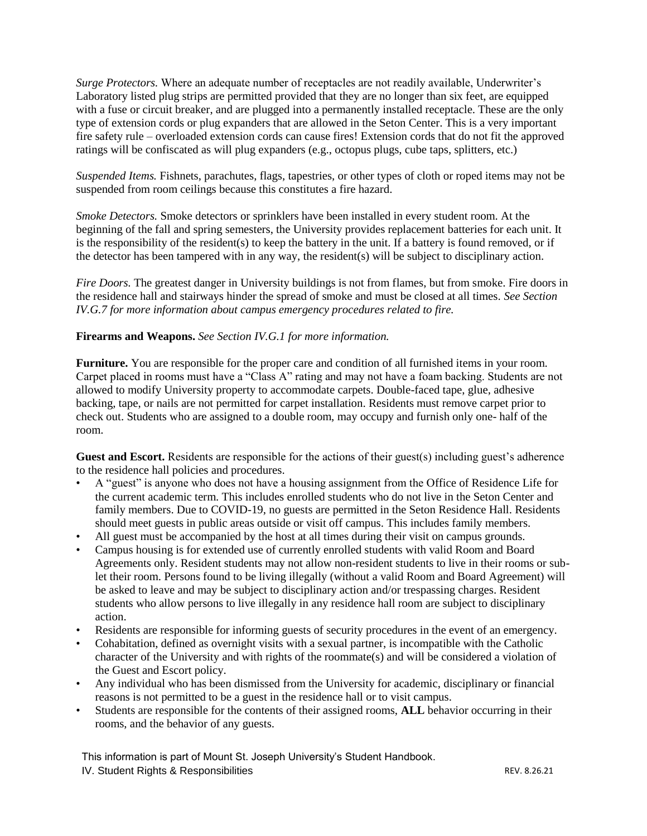*Surge Protectors.* Where an adequate number of receptacles are not readily available, Underwriter's Laboratory listed plug strips are permitted provided that they are no longer than six feet, are equipped with a fuse or circuit breaker, and are plugged into a permanently installed receptacle. These are the only type of extension cords or plug expanders that are allowed in the Seton Center. This is a very important fire safety rule – overloaded extension cords can cause fires! Extension cords that do not fit the approved ratings will be confiscated as will plug expanders (e.g., octopus plugs, cube taps, splitters, etc.)

*Suspended Items.* Fishnets, parachutes, flags, tapestries, or other types of cloth or roped items may not be suspended from room ceilings because this constitutes a fire hazard.

*Smoke Detectors.* Smoke detectors or sprinklers have been installed in every student room. At the beginning of the fall and spring semesters, the University provides replacement batteries for each unit. It is the responsibility of the resident(s) to keep the battery in the unit. If a battery is found removed, or if the detector has been tampered with in any way, the resident(s) will be subject to disciplinary action.

*Fire Doors.* The greatest danger in University buildings is not from flames, but from smoke. Fire doors in the residence hall and stairways hinder the spread of smoke and must be closed at all times. *See Section IV.G.7 for more information about campus emergency procedures related to fire.* 

## **Firearms and Weapons.** *See Section IV.G.1 for more information.*

**Furniture.** You are responsible for the proper care and condition of all furnished items in your room. Carpet placed in rooms must have a "Class A" rating and may not have a foam backing. Students are not allowed to modify University property to accommodate carpets. Double-faced tape, glue, adhesive backing, tape, or nails are not permitted for carpet installation. Residents must remove carpet prior to check out. Students who are assigned to a double room, may occupy and furnish only one- half of the room.

**Guest and Escort.** Residents are responsible for the actions of their guest(s) including guest's adherence to the residence hall policies and procedures.

- A "guest" is anyone who does not have a housing assignment from the Office of Residence Life for the current academic term. This includes enrolled students who do not live in the Seton Center and family members. Due to COVID-19, no guests are permitted in the Seton Residence Hall. Residents should meet guests in public areas outside or visit off campus. This includes family members.
- All guest must be accompanied by the host at all times during their visit on campus grounds.
- Campus housing is for extended use of currently enrolled students with valid Room and Board Agreements only. Resident students may not allow non-resident students to live in their rooms or sublet their room. Persons found to be living illegally (without a valid Room and Board Agreement) will be asked to leave and may be subject to disciplinary action and/or trespassing charges. Resident students who allow persons to live illegally in any residence hall room are subject to disciplinary action.
- Residents are responsible for informing guests of security procedures in the event of an emergency.
- Cohabitation, defined as overnight visits with a sexual partner, is incompatible with the Catholic character of the University and with rights of the roommate(s) and will be considered a violation of the Guest and Escort policy.
- Any individual who has been dismissed from the University for academic, disciplinary or financial reasons is not permitted to be a guest in the residence hall or to visit campus.
- Students are responsible for the contents of their assigned rooms, **ALL** behavior occurring in their rooms, and the behavior of any guests.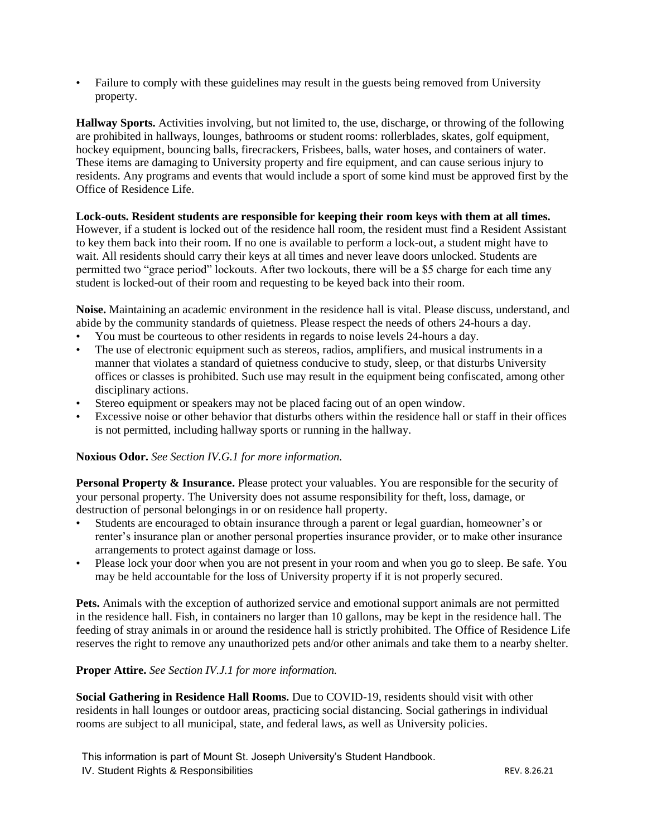• Failure to comply with these guidelines may result in the guests being removed from University property.

**Hallway Sports.** Activities involving, but not limited to, the use, discharge, or throwing of the following are prohibited in hallways, lounges, bathrooms or student rooms: rollerblades, skates, golf equipment, hockey equipment, bouncing balls, firecrackers, Frisbees, balls, water hoses, and containers of water. These items are damaging to University property and fire equipment, and can cause serious injury to residents. Any programs and events that would include a sport of some kind must be approved first by the Office of Residence Life.

## **Lock-outs. Resident students are responsible for keeping their room keys with them at all times.**

However, if a student is locked out of the residence hall room, the resident must find a Resident Assistant to key them back into their room. If no one is available to perform a lock-out, a student might have to wait. All residents should carry their keys at all times and never leave doors unlocked. Students are permitted two "grace period" lockouts. After two lockouts, there will be a \$5 charge for each time any student is locked-out of their room and requesting to be keyed back into their room.

**Noise.** Maintaining an academic environment in the residence hall is vital. Please discuss, understand, and abide by the community standards of quietness. Please respect the needs of others 24-hours a day.

- You must be courteous to other residents in regards to noise levels 24-hours a day.
- The use of electronic equipment such as stereos, radios, amplifiers, and musical instruments in a manner that violates a standard of quietness conducive to study, sleep, or that disturbs University offices or classes is prohibited. Such use may result in the equipment being confiscated, among other disciplinary actions.
- Stereo equipment or speakers may not be placed facing out of an open window.
- Excessive noise or other behavior that disturbs others within the residence hall or staff in their offices is not permitted, including hallway sports or running in the hallway.

## **Noxious Odor.** *See Section IV.G.1 for more information.*

**Personal Property & Insurance.** Please protect your valuables. You are responsible for the security of your personal property. The University does not assume responsibility for theft, loss, damage, or destruction of personal belongings in or on residence hall property.

- Students are encouraged to obtain insurance through a parent or legal guardian, homeowner's or renter's insurance plan or another personal properties insurance provider, or to make other insurance arrangements to protect against damage or loss.
- Please lock your door when you are not present in your room and when you go to sleep. Be safe. You may be held accountable for the loss of University property if it is not properly secured.

**Pets.** Animals with the exception of authorized service and emotional support animals are not permitted in the residence hall. Fish, in containers no larger than 10 gallons, may be kept in the residence hall. The feeding of stray animals in or around the residence hall is strictly prohibited. The Office of Residence Life reserves the right to remove any unauthorized pets and/or other animals and take them to a nearby shelter.

## **Proper Attire.** *See Section IV.J.1 for more information.*

**Social Gathering in Residence Hall Rooms.** Due to COVID-19, residents should visit with other residents in hall lounges or outdoor areas, practicing social distancing. Social gatherings in individual rooms are subject to all municipal, state, and federal laws, as well as University policies.

This information is part of Mount St. Joseph University's Student Handbook.